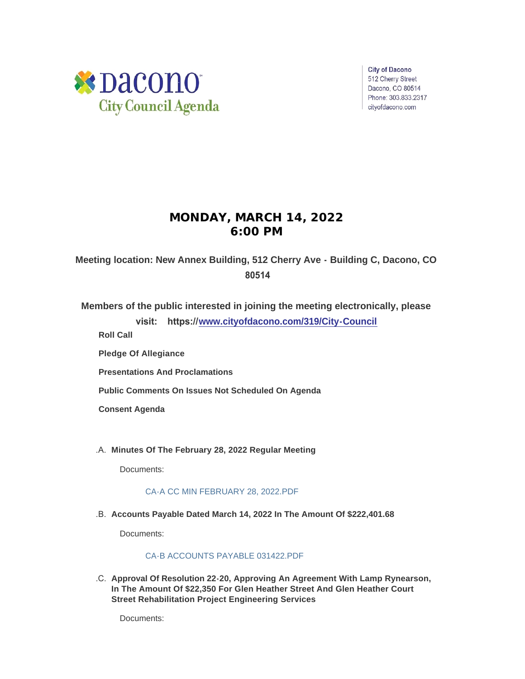

**City of Dacono** 512 Cherry Street Dacono, CO 80514 Phone: 303.833.2317 cityofdacono.com

# **MONDAY, MARCH 14, 2022 6:00 PM**

**Meeting location: New Annex Building, 512 Cherry Ave - Building C, Dacono, CO 80514**

**Members of the public interested in joining the meeting electronically, please visit: https://[www.cityofdacono.com/319/City-Council](http://www.cityofdacono.com/319/City-Council)**

**Roll Call**

**Pledge Of Allegiance** 

**Presentations And Proclamations**

**Public Comments On Issues Not Scheduled On Agenda**

**Consent Agenda**

**Minutes Of The February 28, 2022 Regular Meeting** .A.

Documents:

# [CA-A CC MIN FEBRUARY 28, 2022.PDF](https://www.cityofdacono.com/AgendaCenter/ViewFile/Item/1996?fileID=2701)

**Accounts Payable Dated March 14, 2022 In The Amount Of \$222,401.68** .B.

Documents:

# [CA-B ACCOUNTS PAYABLE 031422.PDF](https://www.cityofdacono.com/AgendaCenter/ViewFile/Item/1997?fileID=2702)

**Approval Of Resolution 22-20, Approving An Agreement With Lamp Rynearson,**  .C. **In The Amount Of \$22,350 For Glen Heather Street And Glen Heather Court Street Rehabilitation Project Engineering Services**

Documents: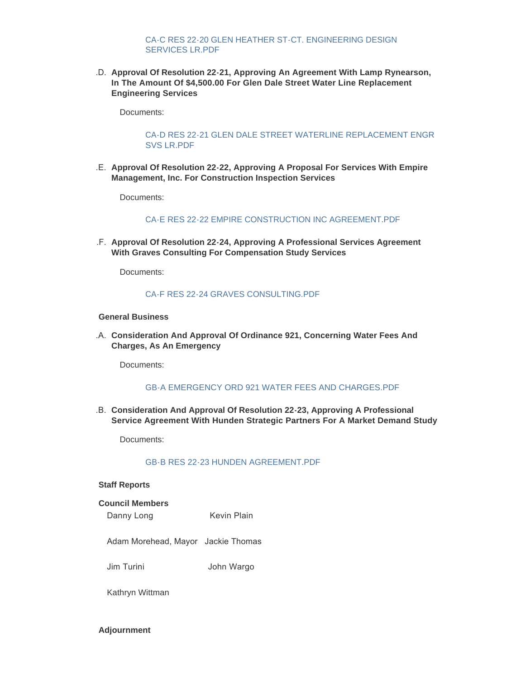# [CA-C RES 22-20 GLEN HEATHER ST-CT. ENGINEERING DESIGN](https://www.cityofdacono.com/AgendaCenter/ViewFile/Item/1998?fileID=2703)  SERVICES LR.PDF

**Approval Of Resolution 22-21, Approving An Agreement With Lamp Rynearson,**  .D. **In The Amount Of \$4,500.00 For Glen Dale Street Water Line Replacement Engineering Services**

Documents:

### [CA-D RES 22-21 GLEN DALE STREET WATERLINE REPLACEMENT ENGR](https://www.cityofdacono.com/AgendaCenter/ViewFile/Item/1999?fileID=2704)  SVS LR.PDF

**Approval Of Resolution 22-22, Approving A Proposal For Services With Empire**  .E. **Management, Inc. For Construction Inspection Services**

Documents:

#### [CA-E RES 22-22 EMPIRE CONSTRUCTION INC AGREEMENT.PDF](https://www.cityofdacono.com/AgendaCenter/ViewFile/Item/2000?fileID=2705)

**Approval Of Resolution 22-24, Approving A Professional Services Agreement**  .F. **With Graves Consulting For Compensation Study Services**

Documents:

#### [CA-F RES 22-24 GRAVES CONSULTING.PDF](https://www.cityofdacono.com/AgendaCenter/ViewFile/Item/2001?fileID=2706)

### **General Business**

**Consideration And Approval Of Ordinance 921, Concerning Water Fees And**  .A. **Charges, As An Emergency**

Documents:

#### [GB-A EMERGENCY ORD 921 WATER FEES AND CHARGES.PDF](https://www.cityofdacono.com/AgendaCenter/ViewFile/Item/2002?fileID=2707)

**Consideration And Approval Of Resolution 22-23, Approving A Professional**  .B. **Service Agreement With Hunden Strategic Partners For A Market Demand Study**

Documents:

### [GB-B RES 22-23 HUNDEN AGREEMENT.PDF](https://www.cityofdacono.com/AgendaCenter/ViewFile/Item/2003?fileID=2708)

#### **Staff Reports**

#### **Council Members**

Danny Long Kevin Plain

Adam Morehead, Mayor Jackie Thomas

Jim Turini John Wargo

Kathryn Wittman

**Adjournment**